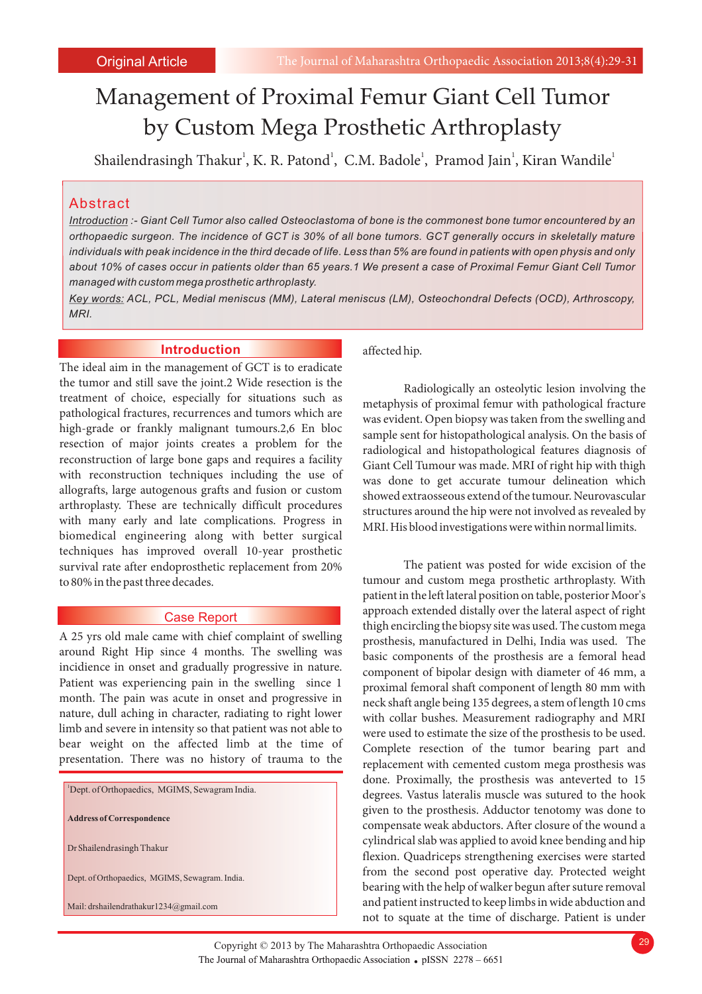# Management of Proximal Femur Giant Cell Tumor by Custom Mega Prosthetic Arthroplasty

Shailendrasingh Thakur<sup>1</sup>, K. R. Patond<sup>1</sup>, C.M. Badole<sup>1</sup>, Pramod Jain<sup>1</sup>, Kiran Wandile<sup>1</sup>

# Abstract

*Introduction :- Giant Cell Tumor also called Osteoclastoma of bone is the commonest bone tumor encountered by an orthopaedic surgeon. The incidence of GCT is 30% of all bone tumors. GCT generally occurs in skeletally mature individuals with peak incidence in the third decade of life. Less than 5% are found in patients with open physis and only about 10% of cases occur in patients older than 65 years.1 We present a case of Proximal Femur Giant Cell Tumor managed with custom mega prosthetic arthroplasty.*

*Key words: ACL, PCL, Medial meniscus (MM), Lateral meniscus (LM), Osteochondral Defects (OCD), Arthroscopy, MRI.*

## **Introduction**

The ideal aim in the management of GCT is to eradicate the tumor and still save the joint.2 Wide resection is the treatment of choice, especially for situations such as pathological fractures, recurrences and tumors which are high-grade or frankly malignant tumours.2,6 En bloc resection of major joints creates a problem for the reconstruction of large bone gaps and requires a facility with reconstruction techniques including the use of allografts, large autogenous grafts and fusion or custom arthroplasty. These are technically difficult procedures with many early and late complications. Progress in biomedical engineering along with better surgical techniques has improved overall 10-year prosthetic survival rate after endoprosthetic replacement from 20% to 80% in the past three decades.

### Case Report

around Right Hip since 4 months. The swelling was basic components of the prosthesis are a femoral head incidience in onset and gradually progressive in nature. incidience in onset and gradually progressive in nature.<br>
Patient was experiencing pain in the swelling since 1 arrowing femoral shaft component of length 80 mm with Patient was experiencing pain in the swelling since 1 proximal femoral shaft component of length 80 mm with month. The pain was acute in onset and progressive in peck shaft angle being 135 degrees a stem of length 10 cms month. The pain was acute in onset and progressive in neck shaft angle being 135 degrees, a stem of length 10 cms<br>nature, dull aching in character, radiating to right lower with collar bushes. Measurement radiography and M nature, dull aching in character, radiating to right lower with collar bushes. Measurement radiography and MRI<br>limb and severe in intensity so that patient was not able to were used to estimate the size of the prosthesis t limb and severe in intensity so that patient was not able to were used to estimate the size of the prosthesis to be used.<br>
bear weight on the affected limb at the time of Complete resection of the tumor bearing part and bear weight on the affected limb at the time of Complete resection of the tumor bearing part and presentation. There was no history of trauma to the replecement with computed custom meso prosthesis was

| 'Dept. of Orthopaedics, MGIMS, Sewagram India. |
|------------------------------------------------|
| <b>Address of Correspondence</b>               |
| Dr Shailendrasingh Thakur                      |
| Dept. of Orthopaedics, MGIMS, Sewagram. India. |
| Mail: drshailendrathakur1234@gmail.com         |

affected hip.

Radiologically an osteolytic lesion involving the metaphysis of proximal femur with pathological fracture was evident. Open biopsy was taken from the swelling and sample sent for histopathological analysis. On the basis of radiological and histopathological features diagnosis of Giant Cell Tumour was made. MRI of right hip with thigh was done to get accurate tumour delineation which showed extraosseous extend of the tumour. Neurovascular structures around the hip were not involved as revealed by MRI. His blood investigations were within normal limits.

The patient was posted for wide excision of the tumour and custom mega prosthetic arthroplasty. With patient in the left lateral position on table, posterior Moor's approach extended distally over the lateral aspect of right thigh encircling the biopsy site was used. The custom mega A 25 yrs old male came with chief complaint of swelling prosthesis, manufactured in Delhi, India was used. The around Right Hip since 4 months. The swelling was basic components of the prosthesis are a femoral head replacement with cemented custom mega prosthesis was done. Proximally, the prosthesis was anteverted to 15 degrees. Vastus lateralis muscle was sutured to the hook given to the prosthesis. Adductor tenotomy was done to compensate weak abductors. After closure of the wound a cylindrical slab was applied to avoid knee bending and hip flexion. Quadriceps strengthening exercises were started from the second post operative day. Protected weight bearing with the help of walker begun after suture removal and patient instructed to keep limbs in wide abduction and not to squate at the time of discharge. Patient is under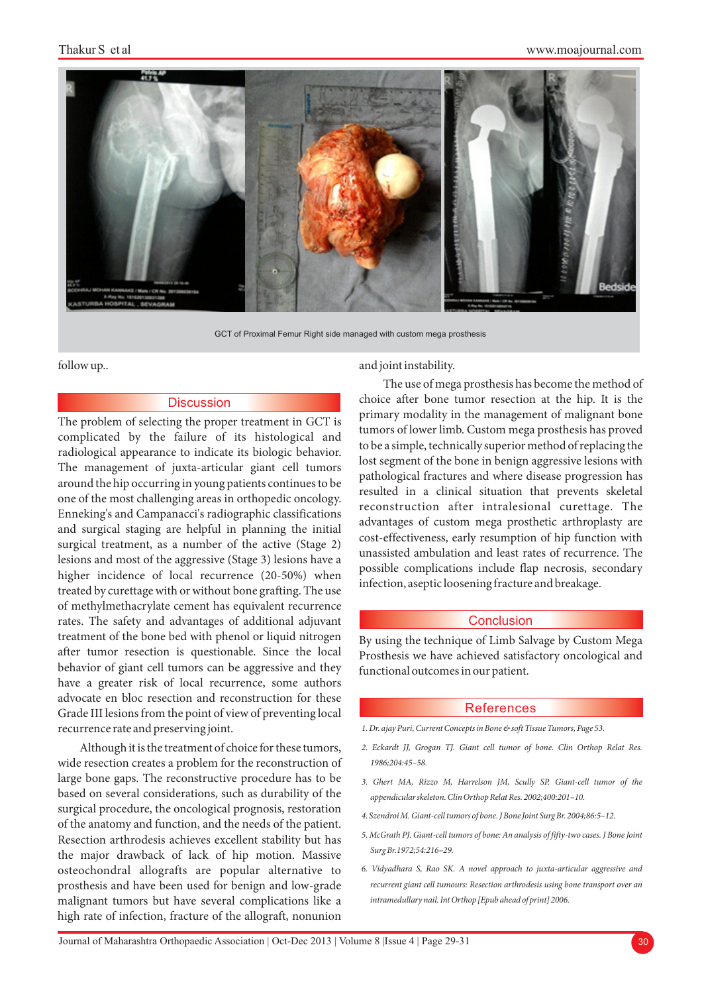

GCT of Proximal Femur Right side managed with custom mega prosthesis

### **Discussion**

complicated by the failure of its histological and radiological appearance to indicate its biologic behavior.<br>The management of juxta-articular giant cell tumors around the hip occurring in young patients continues to be one of the most challenging areas in orthopedic oncology. Enneking's and Campanacci's radiographic classifications advantages of custom mega prosthetic arthroplasty are and surgical staging are helpful in planning the initial surgical treatment, as a number of the active (Stage 2) higher incidence of local recurrence (20-50%) when possible complications include hap hecrosis, secondary higher infection, aseptic loosening fracture and breakage. treated by curettage with or without bone grafting. The use of methylmethacrylate cement has equivalent recurrence rates. The safety and advantages of additional adjuvant treatment of the bone bed with phenol or liquid nitrogen By using the technique of Limb Salvage by Custom Mega<br>after tumor resection is questionable. Since the local prosthesis we have achieved satisfactory oncological and behavior of giant cell tumors can be aggressive and they functional outcomes in our patient. have a greater risk of local recurrence, some authors advocate en bloc resection and reconstruction for these Grade III lesions from the point of view of preventing local recurrence rate and preserving joint.

Although it is the treatment of choice for these tumors, wide resection creates a problem for the reconstruction of large bone gaps. The reconstructive procedure has to be based on several considerations, such as durability of the surgical procedure, the oncological prognosis, restoration of the anatomy and function, and the needs of the patient. Resection arthrodesis achieves excellent stability but has the major drawback of lack of hip motion. Massive osteochondral allografts are popular alternative to prosthesis and have been used for benign and low-grade malignant tumors but have several complications like a high rate of infection, fracture of the allograft, nonunion

#### follow up..  $\qquad \qquad \text{and joint instability.}$

The use of mega prosthesis has become the method of choice after bone tumor resection at the hip. It is the The problem of selecting the proper treatment in GCT is primary modality in the management of malignant bone tumors of lower limb. Custom mega prosthesis has proved pathological fractures and where disease progression has resulted in a clinical situation that prevents skeletal reconstruction after intralesional curettage. The cost-effectiveness, early resumption of hip function with unassisted ambulation and least rates of recurrence. The lesions and most of the aggressive (Stage 3) lesions have a possible complications include flap necrosis, secondary

#### Conclusion

Prosthesis we have achieved satisfactory oncological and

#### References

- *1. Dr. ajay Puri, Current Concepts in Bone & soft Tissue Tumors, Page 53.*
- *2. Eckardt JJ, Grogan TJ. Giant cell tumor of bone. Clin Orthop Relat Res. 1986;204:45–58.*
- *3. Ghert MA, Rizzo M, Harrelson JM, Scully SP. Giant-cell tumor of the appendicular skeleton. Clin Orthop Relat Res. 2002;400:201–10.*
- *4. Szendroi M. Giant-cell tumors of bone. J Bone Joint Surg Br. 2004;86:5–12.*
- *5. McGrath PJ. Giant-cell tumors of bone: An analysis of fifty-two cases. J Bone Joint Surg Br.1972;54:216–29.*
- *6. Vidyadhara S, Rao SK. A novel approach to juxta-articular aggressive and recurrent giant cell tumours: Resection arthrodesis using bone transport over an intramedullary nail. Int Orthop [Epub ahead of print] 2006.*